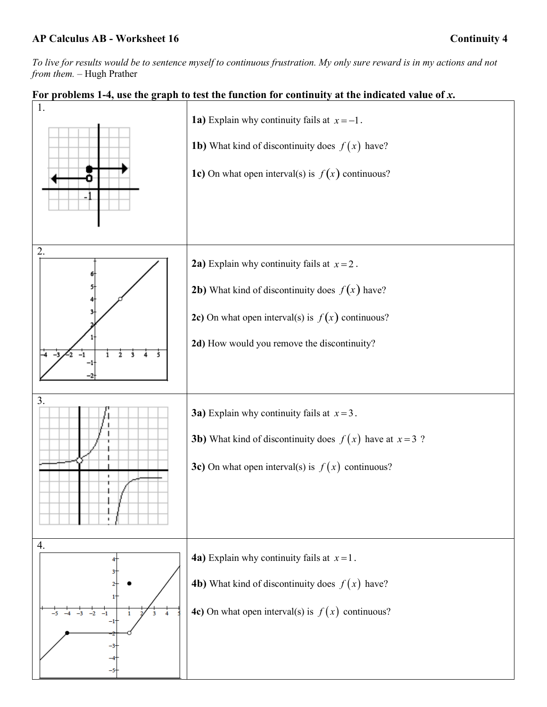*To live for results would be to sentence myself to continuous frustration. My only sure reward is in my actions and not from them.* – Hugh Prather